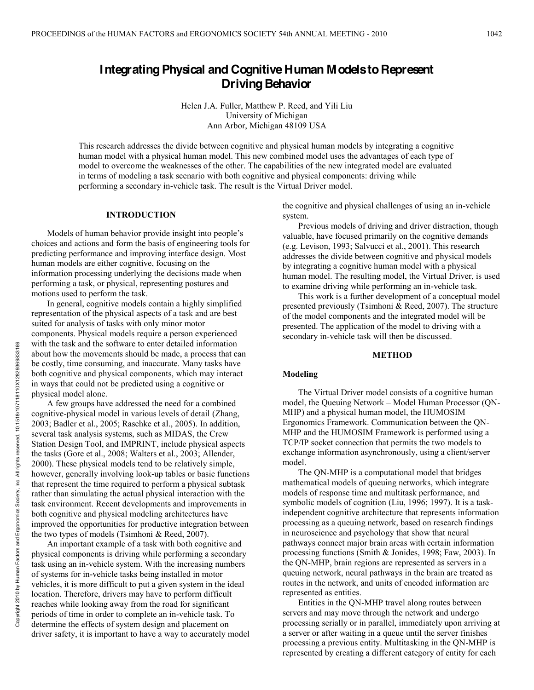Helen J.A. Fuller, Matthew P. Reed, and Yili Liu University of Michigan Ann Arbor, Michigan 48109 USA

This research addresses the divide between cognitive and physical human models by integrating a cognitive human model with a physical human model. This new combined model uses the advantages of each type of model to overcome the weaknesses of the other. The capabilities of the new integrated model are evaluated in terms of modeling a task scenario with both cognitive and physical components: driving while performing a secondary in-vehicle task. The result is the Virtual Driver model.

# **INTRODUCTION**

Models of human behavior provide insight into people's choices and actions and form the basis of engineering tools for predicting performance and improving interface design. Most human models are either cognitive, focusing on the information processing underlying the decisions made when performing a task, or physical, representing postures and motions used to perform the task.

In general, cognitive models contain a highly simplified representation of the physical aspects of a task and are best suited for analysis of tasks with only minor motor components. Physical models require a person experienced with the task and the software to enter detailed information about how the movements should be made, a process that can be costly, time consuming, and inaccurate. Many tasks have both cognitive and physical components, which may interact in ways that could not be predicted using a cognitive or physical model alone.

A few groups have addressed the need for a combined cognitive-physical model in various levels of detail (Zhang, 2003; Badler et al., 2005; Raschke et al., 2005). In addition, several task analysis systems, such as MIDAS, the Crew Station Design Tool, and IMPRINT, include physical aspects the tasks (Gore et al., 2008; Walters et al., 2003; Allender, 2000). These physical models tend to be relatively simple, however, generally involving look-up tables or basic functions that represent the time required to perform a physical subtask rather than simulating the actual physical interaction with the task environment. Recent developments and improvements in both cognitive and physical modeling architectures have improved the opportunities for productive integration between the two types of models (Tsimhoni & Reed, 2007).

An important example of a task with both cognitive and physical components is driving while performing a secondary task using an in-vehicle system. With the increasing numbers of systems for in-vehicle tasks being installed in motor vehicles, it is more difficult to put a given system in the ideal location. Therefore, drivers may have to perform difficult reaches while looking away from the road for significant periods of time in order to complete an in-vehicle task. To determine the effects of system design and placement on driver safety, it is important to have a way to accurately model the cognitive and physical challenges of using an in-vehicle system.

Previous models of driving and driver distraction, though valuable, have focused primarily on the cognitive demands (e.g. Levison, 1993; Salvucci et al., 2001). This research addresses the divide between cognitive and physical models by integrating a cognitive human model with a physical human model. The resulting model, the Virtual Driver, is used to examine driving while performing an in-vehicle task.

This work is a further development of a conceptual model presented previously (Tsimhoni & Reed, 2007). The structure of the model components and the integrated model will be presented. The application of the model to driving with a secondary in-vehicle task will then be discussed.

# **METHOD**

# **Modeling**

The Virtual Driver model consists of a cognitive human model, the Queuing Network - Model Human Processor (QN-MHP) and a physical human model, the HUMOSIM Ergonomics Framework. Communication between the QN-MHP and the HUMOSIM Framework is performed using a TCP/IP socket connection that permits the two models to exchange information asynchronously, using a client/server model.

The QN-MHP is a computational model that bridges mathematical models of queuing networks, which integrate models of response time and multitask performance, and symbolic models of cognition (Liu, 1996; 1997). It is a taskindependent cognitive architecture that represents information processing as a queuing network, based on research findings in neuroscience and psychology that show that neural pathways connect major brain areas with certain information processing functions (Smith & Jonides, 1998; Faw, 2003). In the QN-MHP, brain regions are represented as servers in a queuing network, neural pathways in the brain are treated as routes in the network, and units of encoded information are represented as entities.

Entities in the QN-MHP travel along routes between servers and may move through the network and undergo processing serially or in parallel, immediately upon arriving at a server or after waiting in a queue until the server finishes processing a previous entity. Multitasking in the QN-MHP is represented by creating a different category of entity for each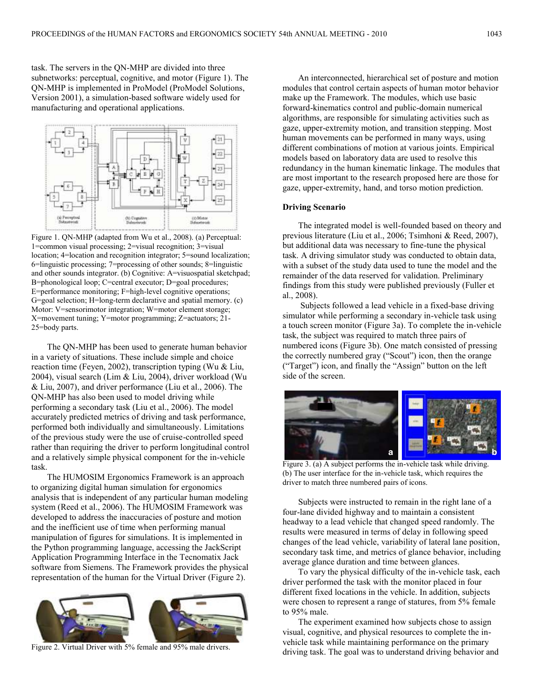task. The servers in the QN-MHP are divided into three subnetworks: perceptual, cognitive, and motor (Figure 1). The QN-MHP is implemented in ProModel (ProModel Solutions, Version 2001), a simulation-based software widely used for manufacturing and operational applications.



Figure 1. QN-MHP (adapted from Wu et al., 2008). (a) Perceptual: 1=common visual processing; 2=visual recognition; 3=visual location; 4=location and recognition integrator; 5=sound localization; 6=linguistic processing; 7=processing of other sounds; 8=linguistic and other sounds integrator. (b) Cognitive: A=visuospatial sketchpad; B=phonological loop; C=central executor; D=goal procedures; E=performance monitoring; F=high-level cognitive operations; G=goal selection; H=long-term declarative and spatial memory. (c) Motor: V=sensorimotor integration; W=motor element storage; X=movement tuning; Y=motor programming; Z=actuators; 21- 25=body parts.

The QN-MHP has been used to generate human behavior in a variety of situations. These include simple and choice reaction time (Feyen, 2002), transcription typing (Wu & Liu, 2004), visual search (Lim & Liu, 2004), driver workload (Wu & Liu, 2007), and driver performance (Liu et al., 2006). The QN-MHP has also been used to model driving while performing a secondary task (Liu et al., 2006). The model accurately predicted metrics of driving and task performance, performed both individually and simultaneously. Limitations of the previous study were the use of cruise-controlled speed rather than requiring the driver to perform longitudinal control and a relatively simple physical component for the in-vehicle task.

The HUMOSIM Ergonomics Framework is an approach to organizing digital human simulation for ergonomics analysis that is independent of any particular human modeling system (Reed et al., 2006). The HUMOSIM Framework was developed to address the inaccuracies of posture and motion and the inefficient use of time when performing manual manipulation of figures for simulations. It is implemented in the Python programming language, accessing the JackScript Application Programming Interface in the Tecnomatix Jack software from Siemens. The Framework provides the physical representation of the human for the Virtual Driver (Figure 2).



Figure 2. Virtual Driver with 5% female and 95% male drivers.

An interconnected, hierarchical set of posture and motion modules that control certain aspects of human motor behavior make up the Framework. The modules, which use basic forward-kinematics control and public-domain numerical algorithms, are responsible for simulating activities such as gaze, upper-extremity motion, and transition stepping. Most human movements can be performed in many ways, using different combinations of motion at various joints. Empirical models based on laboratory data are used to resolve this redundancy in the human kinematic linkage. The modules that are most important to the research proposed here are those for gaze, upper-extremity, hand, and torso motion prediction.

## **Driving Scenario**

The integrated model is well-founded based on theory and previous literature (Liu et al., 2006; Tsimhoni & Reed, 2007), but additional data was necessary to fine-tune the physical task. A driving simulator study was conducted to obtain data, with a subset of the study data used to tune the model and the remainder of the data reserved for validation. Preliminary findings from this study were published previously (Fuller et al., 2008).

Subjects followed a lead vehicle in a fixed-base driving simulator while performing a secondary in-vehicle task using a touch screen monitor (Figure 3a). To complete the in-vehicle task, the subject was required to match three pairs of numbered icons (Figure 3b). One match consisted of pressing the correctly numbered gray ("Scout") icon, then the orange ("Target") icon, and finally the "Assign" button on the left side of the screen.



Figure 3. (a) A subject performs the in-vehicle task while driving. (b) The user interface for the in-vehicle task, which requires the driver to match three numbered pairs of icons.

Subjects were instructed to remain in the right lane of a four-lane divided highway and to maintain a consistent headway to a lead vehicle that changed speed randomly. The results were measured in terms of delay in following speed changes of the lead vehicle, variability of lateral lane position, secondary task time, and metrics of glance behavior, including average glance duration and time between glances.

To vary the physical difficulty of the in-vehicle task, each driver performed the task with the monitor placed in four different fixed locations in the vehicle. In addition, subjects were chosen to represent a range of statures, from 5% female to 95% male.

The experiment examined how subjects chose to assign visual, cognitive, and physical resources to complete the invehicle task while maintaining performance on the primary driving task. The goal was to understand driving behavior and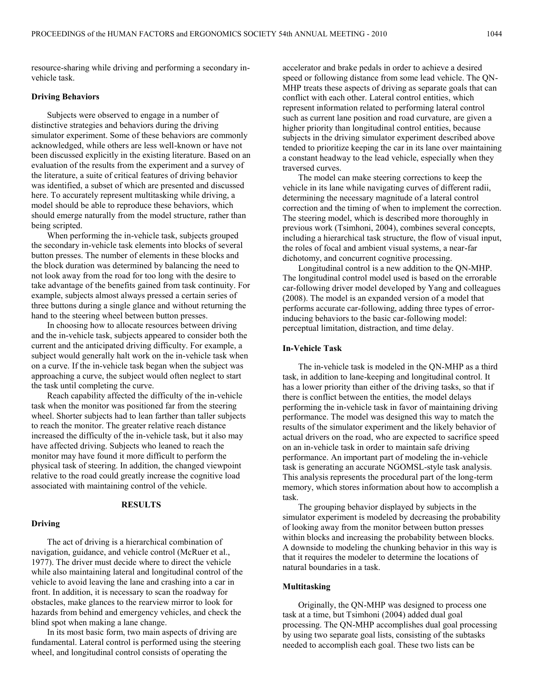resource-sharing while driving and performing a secondary invehicle task.

## **Driving Behaviors**

Subjects were observed to engage in a number of distinctive strategies and behaviors during the driving simulator experiment. Some of these behaviors are commonly acknowledged, while others are less well-known or have not been discussed explicitly in the existing literature. Based on an evaluation of the results from the experiment and a survey of the literature, a suite of critical features of driving behavior was identified, a subset of which are presented and discussed here. To accurately represent multitasking while driving, a model should be able to reproduce these behaviors, which should emerge naturally from the model structure, rather than being scripted.

When performing the in-vehicle task, subjects grouped the secondary in-vehicle task elements into blocks of several button presses. The number of elements in these blocks and the block duration was determined by balancing the need to not look away from the road for too long with the desire to take advantage of the benefits gained from task continuity. For example, subjects almost always pressed a certain series of three buttons during a single glance and without returning the hand to the steering wheel between button presses.

In choosing how to allocate resources between driving and the in-vehicle task, subjects appeared to consider both the current and the anticipated driving difficulty. For example, a subject would generally halt work on the in-vehicle task when on a curve. If the in-vehicle task began when the subject was approaching a curve, the subject would often neglect to start the task until completing the curve.

Reach capability affected the difficulty of the in-vehicle task when the monitor was positioned far from the steering wheel. Shorter subjects had to lean farther than taller subjects to reach the monitor. The greater relative reach distance increased the difficulty of the in-vehicle task, but it also may have affected driving. Subjects who leaned to reach the monitor may have found it more difficult to perform the physical task of steering. In addition, the changed viewpoint relative to the road could greatly increase the cognitive load associated with maintaining control of the vehicle.

# **RESULTS**

#### **Driving**

The act of driving is a hierarchical combination of navigation, guidance, and vehicle control (McRuer et al., 1977). The driver must decide where to direct the vehicle while also maintaining lateral and longitudinal control of the vehicle to avoid leaving the lane and crashing into a car in front. In addition, it is necessary to scan the roadway for obstacles, make glances to the rearview mirror to look for hazards from behind and emergency vehicles, and check the blind spot when making a lane change.

In its most basic form, two main aspects of driving are fundamental. Lateral control is performed using the steering wheel, and longitudinal control consists of operating the

accelerator and brake pedals in order to achieve a desired speed or following distance from some lead vehicle. The QN-MHP treats these aspects of driving as separate goals that can conflict with each other. Lateral control entities, which represent information related to performing lateral control such as current lane position and road curvature, are given a higher priority than longitudinal control entities, because subjects in the driving simulator experiment described above tended to prioritize keeping the car in its lane over maintaining a constant headway to the lead vehicle, especially when they traversed curves.

The model can make steering corrections to keep the vehicle in its lane while navigating curves of different radii, determining the necessary magnitude of a lateral control correction and the timing of when to implement the correction. The steering model, which is described more thoroughly in previous work (Tsimhoni, 2004), combines several concepts, including a hierarchical task structure, the flow of visual input, the roles of focal and ambient visual systems, a near-far dichotomy, and concurrent cognitive processing.

Longitudinal control is a new addition to the QN-MHP. The longitudinal control model used is based on the errorable car-following driver model developed by Yang and colleagues (2008). The model is an expanded version of a model that performs accurate car-following, adding three types of errorinducing behaviors to the basic car-following model: perceptual limitation, distraction, and time delay.

## **In-Vehicle Task**

The in-vehicle task is modeled in the QN-MHP as a third task, in addition to lane-keeping and longitudinal control. It has a lower priority than either of the driving tasks, so that if there is conflict between the entities, the model delays performing the in-vehicle task in favor of maintaining driving performance. The model was designed this way to match the results of the simulator experiment and the likely behavior of actual drivers on the road, who are expected to sacrifice speed on an in-vehicle task in order to maintain safe driving performance. An important part of modeling the in-vehicle task is generating an accurate NGOMSL-style task analysis. This analysis represents the procedural part of the long-term memory, which stores information about how to accomplish a task.

The grouping behavior displayed by subjects in the simulator experiment is modeled by decreasing the probability of looking away from the monitor between button presses within blocks and increasing the probability between blocks. A downside to modeling the chunking behavior in this way is that it requires the modeler to determine the locations of natural boundaries in a task.

#### **Multitasking**

Originally, the QN-MHP was designed to process one task at a time, but Tsimhoni (2004) added dual goal processing. The QN-MHP accomplishes dual goal processing by using two separate goal lists, consisting of the subtasks needed to accomplish each goal. These two lists can be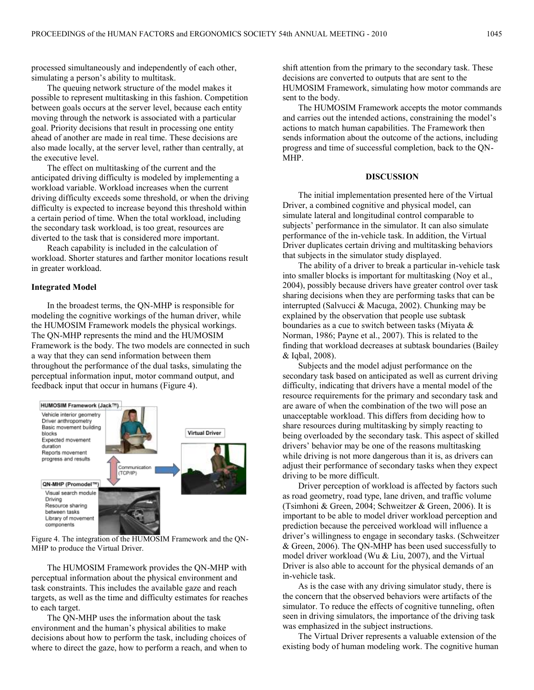processed simultaneously and independently of each other, simulating a person's ability to multitask.

The queuing network structure of the model makes it possible to represent multitasking in this fashion. Competition between goals occurs at the server level, because each entity moving through the network is associated with a particular goal. Priority decisions that result in processing one entity ahead of another are made in real time. These decisions are also made locally, at the server level, rather than centrally, at the executive level.

The effect on multitasking of the current and the anticipated driving difficulty is modeled by implementing a workload variable. Workload increases when the current driving difficulty exceeds some threshold, or when the driving difficulty is expected to increase beyond this threshold within a certain period of time. When the total workload, including the secondary task workload, is too great, resources are diverted to the task that is considered more important.

Reach capability is included in the calculation of workload. Shorter statures and farther monitor locations result in greater workload.

### **Integrated Model**

In the broadest terms, the QN-MHP is responsible for modeling the cognitive workings of the human driver, while the HUMOSIM Framework models the physical workings. The QN-MHP represents the mind and the HUMOSIM Framework is the body. The two models are connected in such a way that they can send information between them throughout the performance of the dual tasks, simulating the perceptual information input, motor command output, and feedback input that occur in humans (Figure 4).



Figure 4. The integration of the HUMOSIM Framework and the QN-MHP to produce the Virtual Driver.

The HUMOSIM Framework provides the QN-MHP with perceptual information about the physical environment and task constraints. This includes the available gaze and reach targets, as well as the time and difficulty estimates for reaches to each target.

The QN-MHP uses the information about the task environment and the human's physical abilities to make decisions about how to perform the task, including choices of where to direct the gaze, how to perform a reach, and when to shift attention from the primary to the secondary task. These decisions are converted to outputs that are sent to the HUMOSIM Framework, simulating how motor commands are sent to the body.

The HUMOSIM Framework accepts the motor commands and carries out the intended actions, constraining the model's actions to match human capabilities. The Framework then sends information about the outcome of the actions, including progress and time of successful completion, back to the QN-MHP.

### **DISCUSSION**

The initial implementation presented here of the Virtual Driver, a combined cognitive and physical model, can simulate lateral and longitudinal control comparable to subjects' performance in the simulator. It can also simulate performance of the in-vehicle task. In addition, the Virtual Driver duplicates certain driving and multitasking behaviors that subjects in the simulator study displayed.

The ability of a driver to break a particular in-vehicle task into smaller blocks is important for multitasking (Noy et al., 2004), possibly because drivers have greater control over task sharing decisions when they are performing tasks that can be interrupted (Salvucci & Macuga, 2002). Chunking may be explained by the observation that people use subtask boundaries as a cue to switch between tasks (Miyata & Norman, 1986; Payne et al., 2007). This is related to the finding that workload decreases at subtask boundaries (Bailey & Iqbal, 2008).

Subjects and the model adjust performance on the secondary task based on anticipated as well as current driving difficulty, indicating that drivers have a mental model of the resource requirements for the primary and secondary task and are aware of when the combination of the two will pose an unacceptable workload. This differs from deciding how to share resources during multitasking by simply reacting to being overloaded by the secondary task. This aspect of skilled drivers' behavior may be one of the reasons multitasking while driving is not more dangerous than it is, as drivers can adjust their performance of secondary tasks when they expect driving to be more difficult.

Driver perception of workload is affected by factors such as road geometry, road type, lane driven, and traffic volume (Tsimhoni & Green, 2004; Schweitzer & Green, 2006). It is important to be able to model driver workload perception and prediction because the perceived workload will influence a driver's willingness to engage in secondary tasks. (Schweitzer & Green, 2006). The QN-MHP has been used successfully to model driver workload (Wu & Liu, 2007), and the Virtual Driver is also able to account for the physical demands of an in-vehicle task.

As is the case with any driving simulator study, there is the concern that the observed behaviors were artifacts of the simulator. To reduce the effects of cognitive tunneling, often seen in driving simulators, the importance of the driving task was emphasized in the subject instructions.

The Virtual Driver represents a valuable extension of the existing body of human modeling work. The cognitive human